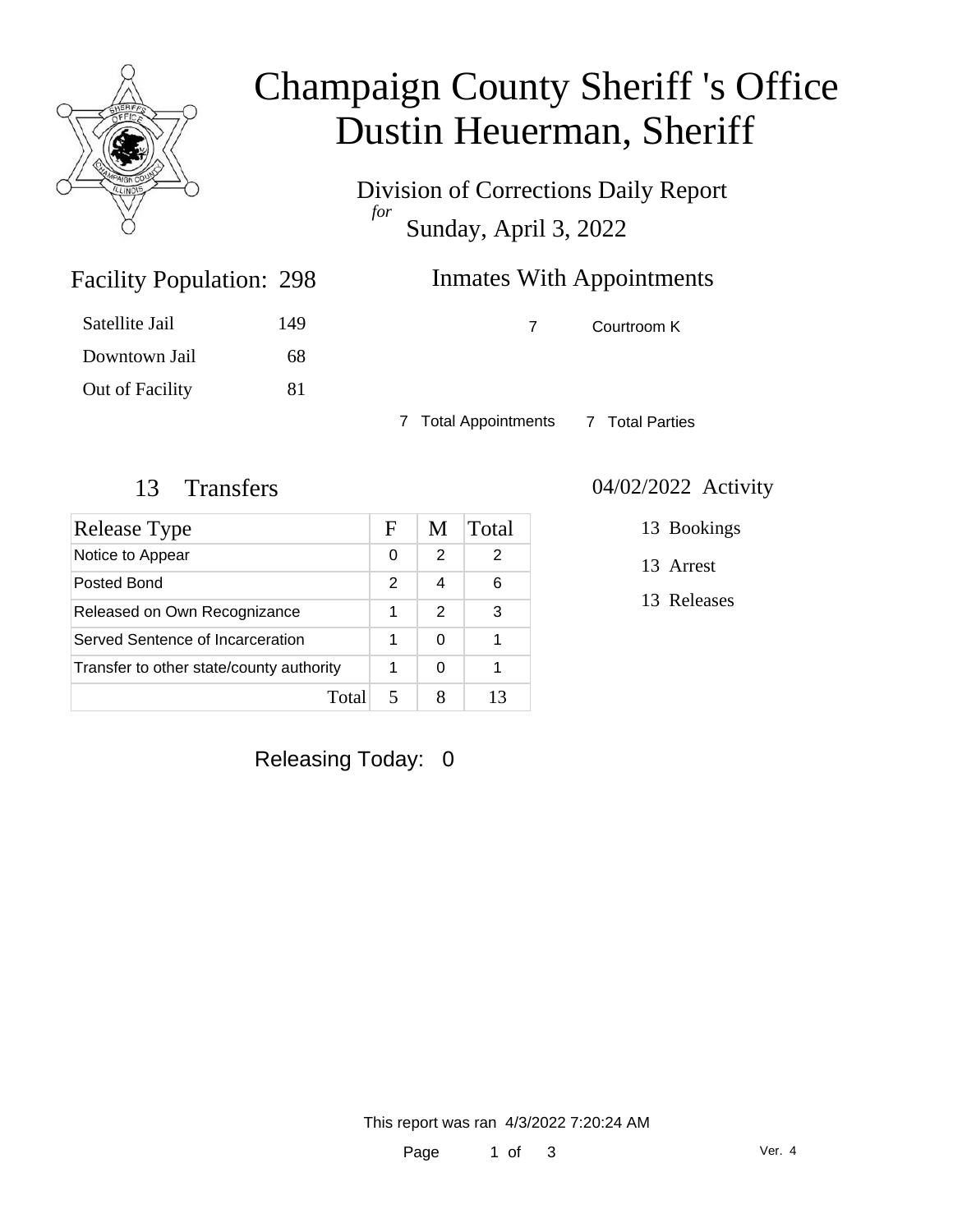

# Champaign County Sheriff 's Office Dustin Heuerman, Sheriff

Division of Corrections Daily Report *for* Sunday, April 3, 2022

| 298 | Inmates With Appointments |
|-----|---------------------------|
|     |                           |

| Satellite Jail  | 149 |
|-----------------|-----|
|                 |     |
| Downtown Jail   | 68. |
| Out of Facility | 81  |

Facility Population: 298

7 Courtroom K

7 Total Appointments 7 Total Parties

| Release Type                             | F             | M             | Total |
|------------------------------------------|---------------|---------------|-------|
| Notice to Appear                         | 0             | 2             | 2     |
| Posted Bond                              | $\mathcal{P}$ | 4             | 6     |
| Released on Own Recognizance             |               | $\mathcal{P}$ | 3     |
| Served Sentence of Incarceration         |               | 0             |       |
| Transfer to other state/county authority |               | 0             |       |
| Tota                                     |               |               |       |

#### 13 Transfers 04/02/2022 Activity

13 Bookings

13 Arrest

13 Releases

Releasing Today: 0

This report was ran 4/3/2022 7:20:24 AM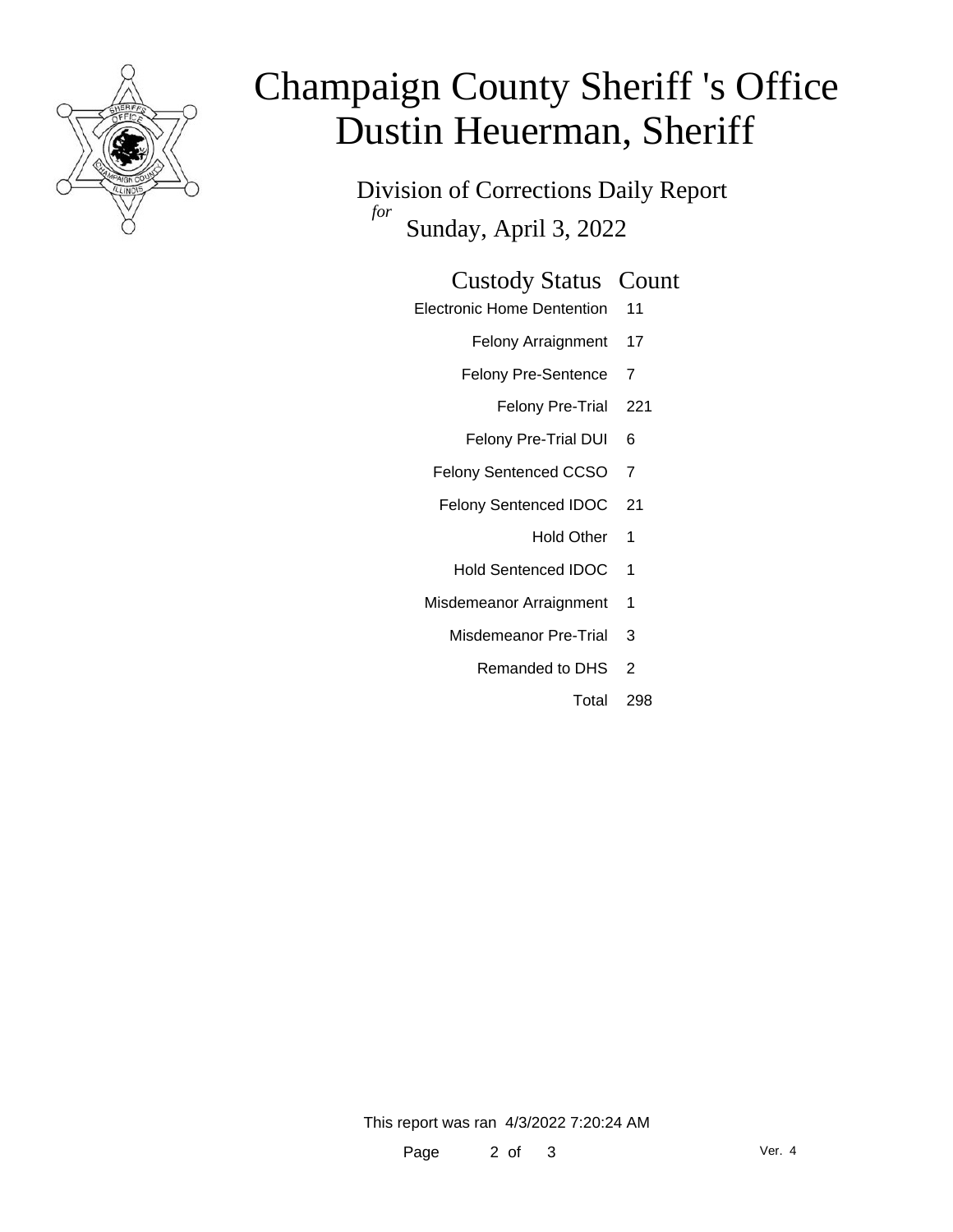

# Champaign County Sheriff 's Office Dustin Heuerman, Sheriff

Division of Corrections Daily Report *for* Sunday, April 3, 2022

### Custody Status Count

- Electronic Home Dentention 11
	- Felony Arraignment 17
	- Felony Pre-Sentence 7
		- Felony Pre-Trial 221
	- Felony Pre-Trial DUI 6
	- Felony Sentenced CCSO 7
	- Felony Sentenced IDOC 21
		- Hold Other 1
		- Hold Sentenced IDOC 1
	- Misdemeanor Arraignment 1
		- Misdemeanor Pre-Trial 3
			- Remanded to DHS 2
				- Total 298

This report was ran 4/3/2022 7:20:24 AM